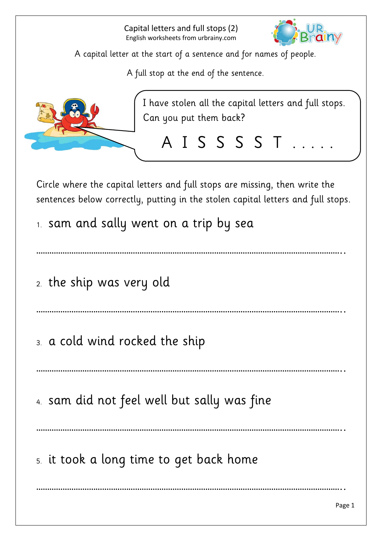

A full stop at the end of the sentence.



I have stolen all the capital letters and full stops. Can you put them back?

A I S S S S T . . . . .

Circle where the capital letters and full stops are missing, then write the sentences below correctly, putting in the stolen capital letters and full stops.

1. sam and sally went on a trip by sea

…………………………………………………………………………………………………………………………..

2. the ship was very old

…………………………………………………………………………………………………………………………..

3. a cold wind rocked the ship

…………………………………………………………………………………………………………………………..

…………………………………………………………………………………………………………………………..

…………………………………………………………………………………………………………………………..

4. sam did not feel well but sally was fine

5. it took a long time to get back home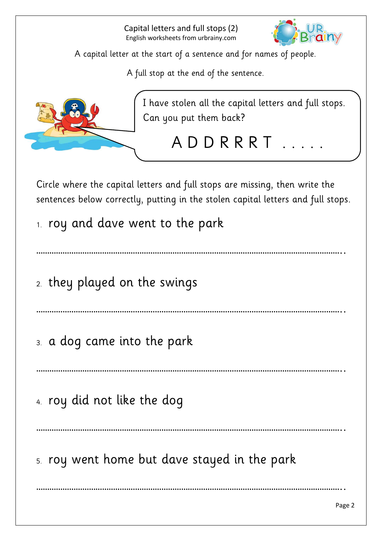

A full stop at the end of the sentence.



I have stolen all the capital letters and full stops. Can you put them back?

A D D R R R T

Circle where the capital letters and full stops are missing, then write the sentences below correctly, putting in the stolen capital letters and full stops.

- 1. roy and dave went to the park
- …………………………………………………………………………………………………………………………..
- 2. they played on the swings

…………………………………………………………………………………………………………………………..

3. a dog came into the park

…………………………………………………………………………………………………………………………..

4. roy did not like the dog

…………………………………………………………………………………………………………………………..

…………………………………………………………………………………………………………………………..

5. roy went home but dave stayed in the park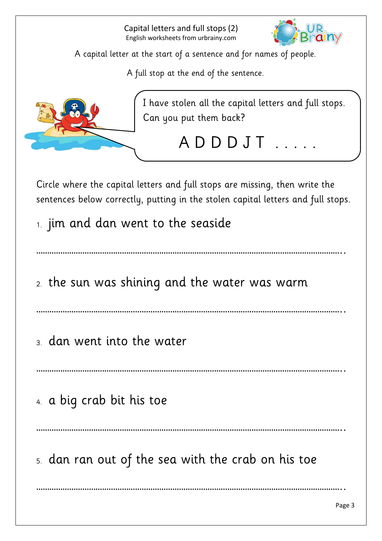

A full stop at the end of the sentence.



I have stolen all the capital letters and full stops. Can you put them back?

A D D D J T . . . .

Circle where the capital letters and full stops are missing, then write the sentences below correctly, putting in the stolen capital letters and full stops.

1. jim and dan went to the seaside

…………………………………………………………………………………………………………………………..

2. the sun was shining and the water was warm

…………………………………………………………………………………………………………………………..

3. dan went into the water

…………………………………………………………………………………………………………………………..

4. a big crab bit his toe

…………………………………………………………………………………………………………………………..

…………………………………………………………………………………………………………………………..

5. dan ran out of the sea with the crab on his toe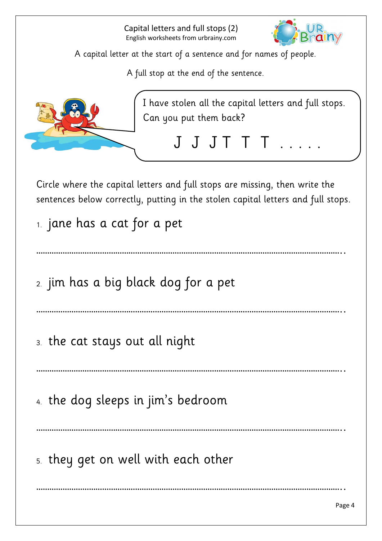

A full stop at the end of the sentence.



I have stolen all the capital letters and full stops. Can you put them back?

J J J T T . . . .

Circle where the capital letters and full stops are missing, then write the sentences below correctly, putting in the stolen capital letters and full stops.

1. jane has a cat for a pet

…………………………………………………………………………………………………………………………..

2. jim has a big black dog for a pet

…………………………………………………………………………………………………………………………..

3. the cat stays out all night

…………………………………………………………………………………………………………………………..

4. the dog sleeps in jim's bedroom

…………………………………………………………………………………………………………………………..

…………………………………………………………………………………………………………………………..

5. they get on well with each other